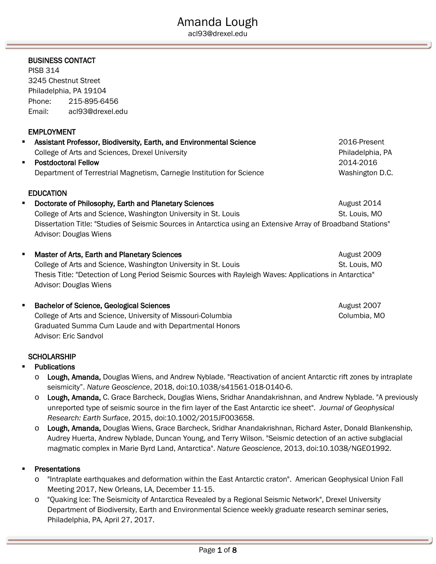#### BUSINESS CONTACT

PISB 314 3245 Chestnut Street Philadelphia, PA 19104 Phone: 215-895-6456 Email: acl93@drexel.edu

## EMPLOYMENT

- Assistant Professor, Biodiversity, Earth, and Environmental Science 2016-Present College of Arts and Sciences, Drexel University **Philadelphia, PA** Philadelphia, PA Postdoctoral Fellow 2014-2016
	- Department of Terrestrial Magnetism, Carnegie Institution for Science Washington D.C.

#### **EDUCATION**

- Doctorate of Philosophy, Earth and Planetary Sciences **August 2014** August 2014 College of Arts and Science, Washington University in St. Louis St. Louis, MO Dissertation Title: "Studies of Seismic Sources in Antarctica using an Extensive Array of Broadband Stations" Advisor: Douglas Wiens
- Master of Arts, Earth and Planetary Sciences August 2009 August 2009 College of Arts and Science, Washington University in St. Louis St. Louis St. Louis, MO Thesis Title: "Detection of Long Period Seismic Sources with Rayleigh Waves: Applications in Antarctica" Advisor: Douglas Wiens
- Bachelor of Science, Geological Sciences August 2007 College of Arts and Science, University of Missouri-Columbia Columbia, MO Graduated Summa Cum Laude and with Departmental Honors

## **SCHOLARSHIP**

Advisor: Eric Sandvol

- Publications
	- o Lough, Amanda, Douglas Wiens, and Andrew Nyblade. "Reactivation of ancient Antarctic rift zones by intraplate seismicity". *Nature Geoscience*, 2018, doi:10.1038/s41561-018-0140-6.
	- o Lough, Amanda, C. Grace Barcheck, Douglas Wiens, Sridhar Anandakrishnan, and Andrew Nyblade. "A previously unreported type of seismic source in the firn layer of the East Antarctic ice sheet". *Journal of Geophysical Research: Earth Surface*, 2015, doi:10.1002/2015JF003658.
	- o Lough, Amanda, Douglas Wiens, Grace Barcheck, Sridhar Anandakrishnan, Richard Aster, Donald Blankenship, Audrey Huerta, Andrew Nyblade, Duncan Young, and Terry Wilson. "Seismic detection of an active subglacial magmatic complex in Marie Byrd Land, Antarctica". *Nature Geoscience*, 2013, doi:10.1038/NGEO1992.

## **Presentations**

- o "Intraplate earthquakes and deformation within the East Antarctic craton". American Geophysical Union Fall Meeting 2017, New Orleans, LA, December 11-15.
- o "Quaking Ice: The Seismicity of Antarctica Revealed by a Regional Seismic Network", Drexel University Department of Biodiversity, Earth and Environmental Science weekly graduate research seminar series, Philadelphia, PA, April 27, 2017.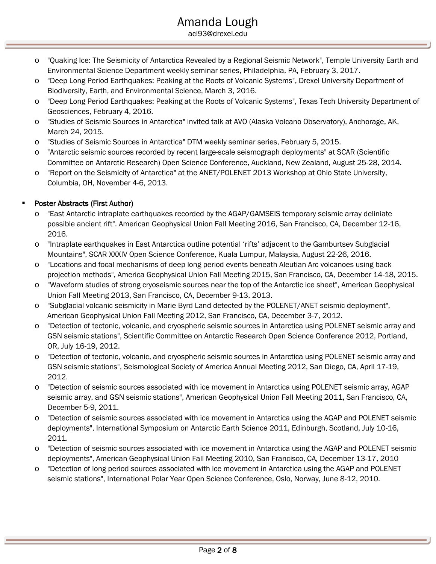- o "Quaking Ice: The Seismicity of Antarctica Revealed by a Regional Seismic Network", Temple University Earth and Environmental Science Department weekly seminar series, Philadelphia, PA, February 3, 2017.
- o "Deep Long Period Earthquakes: Peaking at the Roots of Volcanic Systems", Drexel University Department of Biodiversity, Earth, and Environmental Science, March 3, 2016.
- o "Deep Long Period Earthquakes: Peaking at the Roots of Volcanic Systems", Texas Tech University Department of Geosciences, February 4, 2016.
- o "Studies of Seismic Sources in Antarctica" invited talk at AVO (Alaska Volcano Observatory), Anchorage, AK, March 24, 2015.
- o "Studies of Seismic Sources in Antarctica" DTM weekly seminar series, February 5, 2015.
- o "Antarctic seismic sources recorded by recent large-scale seismograph deployments" at SCAR (Scientific Committee on Antarctic Research) Open Science Conference, Auckland, New Zealand, August 25-28, 2014.
- o "Report on the Seismicity of Antarctica" at the ANET/POLENET 2013 Workshop at Ohio State University, Columbia, OH, November 4-6, 2013.

# Poster Abstracts (First Author)

- "East Antarctic intraplate earthquakes recorded by the AGAP/GAMSEIS temporary seismic array deliniate possible ancient rift". American Geophysical Union Fall Meeting 2016, San Francisco, CA, December 12-16, 2016.
- o "Intraplate earthquakes in East Antarctica outline potential 'rifts' adjacent to the Gamburtsev Subglacial Mountains", SCAR XXXIV Open Science Conference, Kuala Lumpur, Malaysia, August 22-26, 2016.
- o "Locations and focal mechanisms of deep long period events beneath Aleutian Arc volcanoes using back projection methods", America Geophysical Union Fall Meeting 2015, San Francisco, CA, December 14-18, 2015.
- o "Waveform studies of strong cryoseismic sources near the top of the Antarctic ice sheet", American Geophysical Union Fall Meeting 2013, San Francisco, CA, December 9-13, 2013.
- o "Subglacial volcanic seismicity in Marie Byrd Land detected by the POLENET/ANET seismic deployment", American Geophysical Union Fall Meeting 2012, San Francisco, CA, December 3-7, 2012.
- o "Detection of tectonic, volcanic, and cryospheric seismic sources in Antarctica using POLENET seismic array and GSN seismic stations", Scientific Committee on Antarctic Research Open Science Conference 2012, Portland, OR, July 16-19, 2012.
- o "Detection of tectonic, volcanic, and cryospheric seismic sources in Antarctica using POLENET seismic array and GSN seismic stations", Seismological Society of America Annual Meeting 2012, San Diego, CA, April 17-19, 2012.
- o "Detection of seismic sources associated with ice movement in Antarctica using POLENET seismic array, AGAP seismic array, and GSN seismic stations", American Geophysical Union Fall Meeting 2011, San Francisco, CA, December 5-9, 2011.
- o "Detection of seismic sources associated with ice movement in Antarctica using the AGAP and POLENET seismic deployments", International Symposium on Antarctic Earth Science 2011, Edinburgh, Scotland, July 10-16, 2011.
- o "Detection of seismic sources associated with ice movement in Antarctica using the AGAP and POLENET seismic deployments", American Geophysical Union Fall Meeting 2010, San Francisco, CA, December 13-17, 2010
- o "Detection of long period sources associated with ice movement in Antarctica using the AGAP and POLENET seismic stations", International Polar Year Open Science Conference, Oslo, Norway, June 8-12, 2010.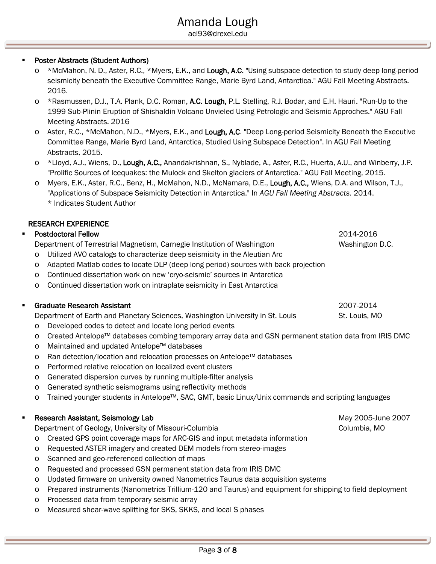# Amanda Lough

acl93@drexel.edu

## Poster Abstracts (Student Authors)

- o \*McMahon, N. D., Aster, R.C., \*Myers, E.K., and Lough, A.C. "Using subspace detection to study deep long-period seismicity beneath the Executive Committee Range, Marie Byrd Land, Antarctica." AGU Fall Meeting Abstracts. 2016.
- o \*Rasmussen, D.J., T.A. Plank, D.C. Roman, A.C. Lough, P.L. Stelling, R.J. Bodar, and E.H. Hauri. "Run-Up to the 1999 Sub-Plinin Eruption of Shishaldin Volcano Unvieled Using Petrologic and Seismic Approches." AGU Fall Meeting Abstracts. 2016
- o Aster, R.C., \*McMahon, N.D., \*Myers, E.K., and Lough, A.C. "Deep Long-period Seismicity Beneath the Executive Committee Range, Marie Byrd Land, Antarctica, Studied Using Subspace Detection". In AGU Fall Meeting Abstracts, 2015.
- o \*Lloyd, A.J., Wiens, D., Lough, A.C., Anandakrishnan, S., Nyblade, A., Aster, R.C., Huerta, A.U., and Winberry, J.P. "Prolific Sources of Icequakes: the Mulock and Skelton glaciers of Antarctica." AGU Fall Meeting, 2015.
- o Myers, E.K., Aster, R.C., Benz, H., McMahon, N.D., McNamara, D.E., Lough, A.C., Wiens, D.A. and Wilson, T.J., "Applications of Subspace Seismicity Detection in Antarctica." In *AGU Fall Meeting Abstracts*. 2014. \* Indicates Student Author

# RESEARCH EXPERIENCE

# Postdoctoral Fellow 2014-2016

Department of Terrestrial Magnetism, Carnegie Institution of Washington Washington D.C.

- o Utilized AVO catalogs to characterize deep seismicity in the Aleutian Arc
- o Adapted Matlab codes to locate DLP (deep long period) sources with back projection
- o Continued dissertation work on new 'cryo-seismic' sources in Antarctica
- o Continued dissertation work on intraplate seismicity in East Antarctica

# Graduate Research Assistant 2007-2014

Department of Earth and Planetary Sciences, Washington University in St. Louis St. Louis, MO

- o Developed codes to detect and locate long period events
- o Created Antelope™ databases combing temporary array data and GSN permanent station data from IRIS DMC
- o Maintained and updated Antelope™ databases
- o Ran detection/location and relocation processes on Antelope™ databases
- o Performed relative relocation on localized event clusters
- o Generated dispersion curves by running multiple-filter analysis
- o Generated synthetic seismograms using reflectivity methods
- o Trained younger students in Antelope™, SAC, GMT, basic Linux/Unix commands and scripting languages

## Research Assistant, Seismology Lab May 2005-June 2007

Department of Geology, University of Missouri-Columbia Columbia, MO

- o Created GPS point coverage maps for ARC-GIS and input metadata information
- o Requested ASTER imagery and created DEM models from stereo-images
- o Scanned and geo-referenced collection of maps
- o Requested and processed GSN permanent station data from IRIS DMC
- o Updated firmware on university owned Nanometrics Taurus data acquisition systems
- o Prepared instruments (Nanometrics Trillium-120 and Taurus) and equipment for shipping to field deployment
- o Processed data from temporary seismic array
- o Measured shear-wave splitting for SKS, SKKS, and local S phases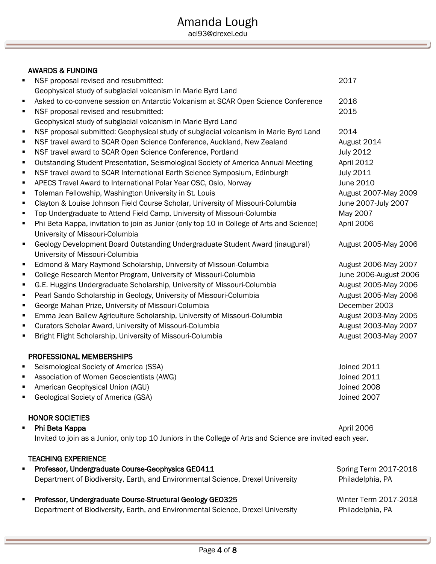# AWARDS & FUNDING

| NSF proposal revised and resubmitted:<br>٠                                                                 | 2017                  |
|------------------------------------------------------------------------------------------------------------|-----------------------|
| Geophysical study of subglacial volcanism in Marie Byrd Land                                               |                       |
| Asked to co-convene session on Antarctic Volcanism at SCAR Open Science Conference<br>п                    | 2016                  |
| NSF proposal revised and resubmitted:<br>٠                                                                 | 2015                  |
| Geophysical study of subglacial volcanism in Marie Byrd Land                                               |                       |
| NSF proposal submitted: Geophysical study of subglacial volcanism in Marie Byrd Land<br>٠                  | 2014                  |
| NSF travel award to SCAR Open Science Conference, Auckland, New Zealand<br>٠                               | August 2014           |
| NSF travel award to SCAR Open Science Conference, Portland<br>٠                                            | <b>July 2012</b>      |
| Outstanding Student Presentation, Seismological Society of America Annual Meeting<br>٠                     | April 2012            |
| NSF travel award to SCAR International Earth Science Symposium, Edinburgh<br>٠                             | <b>July 2011</b>      |
| APECS Travel Award to International Polar Year OSC, Oslo, Norway<br>$\blacksquare$                         | June 2010             |
| Toleman Fellowship, Washington University in St. Louis<br>٠                                                | August 2007-May 2009  |
| Clayton & Louise Johnson Field Course Scholar, University of Missouri-Columbia<br>٠                        | June 2007-July 2007   |
| Top Undergraduate to Attend Field Camp, University of Missouri-Columbia<br>٠                               | May 2007              |
| Phi Beta Kappa, invitation to join as Junior (only top 10 in College of Arts and Science)<br>٠             | April 2006            |
| University of Missouri-Columbia                                                                            |                       |
| Geology Development Board Outstanding Undergraduate Student Award (inaugural)<br>٠                         | August 2005-May 2006  |
| University of Missouri-Columbia                                                                            |                       |
| Edmond & Mary Raymond Scholarship, University of Missouri-Columbia<br>٠                                    | August 2006-May 2007  |
| College Research Mentor Program, University of Missouri-Columbia<br>٠                                      | June 2006-August 2006 |
| G.E. Huggins Undergraduate Scholarship, University of Missouri-Columbia<br>٠                               | August 2005-May 2006  |
| Pearl Sando Scholarship in Geology, University of Missouri-Columbia<br>٠                                   | August 2005-May 2006  |
| George Mahan Prize, University of Missouri-Columbia<br>٠                                                   | December 2003         |
| Emma Jean Ballew Agriculture Scholarship, University of Missouri-Columbia<br>п                             | August 2003-May 2005  |
| Curators Scholar Award, University of Missouri-Columbia<br>$\blacksquare$                                  | August 2003-May 2007  |
| Bright Flight Scholarship, University of Missouri-Columbia<br>п                                            | August 2003-May 2007  |
| PROFESSIONAL MEMBERSHIPS                                                                                   |                       |
| Seismological Society of America (SSA)                                                                     | <b>Joined 2011</b>    |
| Association of Women Geoscientists (AWG)<br>٠                                                              | <b>Joined 2011</b>    |
| American Geophysical Union (AGU)<br>٠                                                                      | Joined 2008           |
| Geological Society of America (GSA)<br>$\blacksquare$                                                      | Joined 2007           |
| <b>HONOR SOCIETIES</b>                                                                                     |                       |
| Phi Beta Kappa<br>п                                                                                        | April 2006            |
| Invited to join as a Junior, only top 10 Juniors in the College of Arts and Science are invited each year. |                       |
| <b>TEACHING EXPERIENCE</b>                                                                                 |                       |

- **Professor, Undergraduate Course-Geophysics GEO411** Spring Term 2017-2018 Department of Biodiversity, Earth, and Environmental Science, Drexel University Philadelphia, PA
	- Professor, Undergraduate Course-Structural Geology GEO325 Winter Term 2017-2018 Department of Biodiversity, Earth, and Environmental Science, Drexel University Philadelphia, PA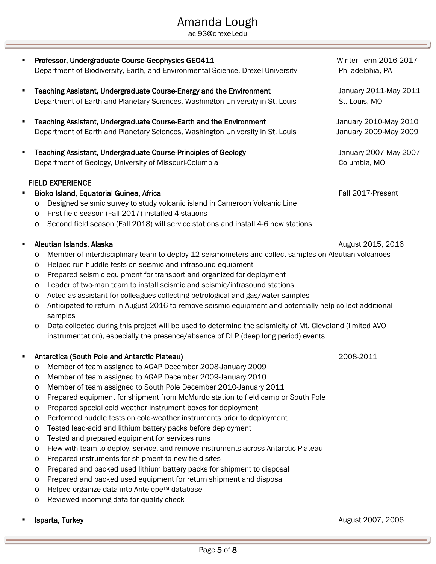# Amanda Lough

acl93@drexel.edu

- Professor, Undergraduate Course-Geophysics GEO411 Winter Term 2016-2017 Department of Biodiversity, Earth, and Environmental Science, Drexel University Philadelphia, PA
- Teaching Assistant, Undergraduate Course-Energy and the Environment January 2011-May 2011 Department of Earth and Planetary Sciences, Washington University in St. Louis St. Louis, MO
- **Teaching Assistant, Undergraduate Course-Earth and the Environment** January 2010-May 2010 Department of Earth and Planetary Sciences, Washington University in St. Louis January 2009-May 2009
- Teaching Assistant, Undergraduate Course-Principles of Geology Franchised Manuary 2007-May 2007 Department of Geology, University of Missouri-Columbia Columbia, MO

# FIELD EXPERIENCE

- Bioko Island, Equatorial Guinea, Africa Fall 2017-Present
	- o Designed seismic survey to study volcanic island in Cameroon Volcanic Line
	- o First field season (Fall 2017) installed 4 stations
	- o Second field season (Fall 2018) will service stations and install 4-6 new stations

# Aleutian Islands, Alaska August 2015, 2016

- o Member of interdisciplinary team to deploy 12 seismometers and collect samples on Aleutian volcanoes
- o Helped run huddle tests on seismic and infrasound equipment
- o Prepared seismic equipment for transport and organized for deployment
- o Leader of two-man team to install seismic and seismic/infrasound stations
- o Acted as assistant for colleagues collecting petrological and gas/water samples
- o Anticipated to return in August 2016 to remove seismic equipment and potentially help collect additional samples
- o Data collected during this project will be used to determine the seismicity of Mt. Cleveland (limited AVO instrumentation), especially the presence/absence of DLP (deep long period) events

## Antarctica (South Pole and Antarctic Plateau) 2008-2011

- o Member of team assigned to AGAP December 2008-January 2009
- o Member of team assigned to AGAP December 2009-January 2010
- o Member of team assigned to South Pole December 2010-January 2011
- o Prepared equipment for shipment from McMurdo station to field camp or South Pole
- o Prepared special cold weather instrument boxes for deployment
- o Performed huddle tests on cold-weather instruments prior to deployment
- o Tested lead-acid and lithium battery packs before deployment
- o Tested and prepared equipment for services runs
- o Flew with team to deploy, service, and remove instruments across Antarctic Plateau
- o Prepared instruments for shipment to new field sites
- o Prepared and packed used lithium battery packs for shipment to disposal
- o Prepared and packed used equipment for return shipment and disposal
- o Helped organize data into Antelope™ database
- o Reviewed incoming data for quality check
- 

**Isparta, Turkey August 2007, 2006 August 2007, 2006**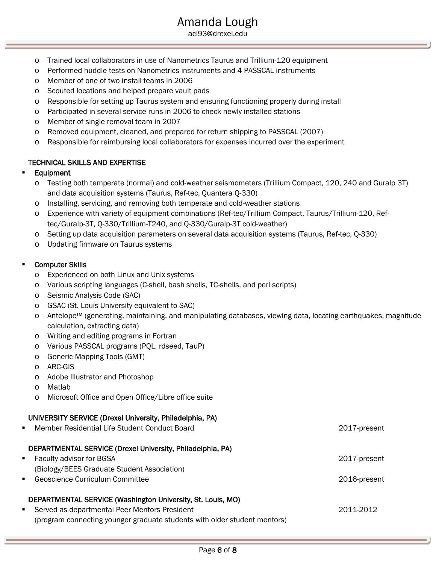- o Trained local collaborators in use of Nanometrics Taurus and Trillium-120 equipment
- o Performed huddle tests on Nanometrics instruments and 4 PASSCAL instruments
- o Member of one of two install teams in 2006
- o Scouted locations and helped prepare vault pads
- o Responsible for setting up Taurus system and ensuring functioning properly during install
- o Participated in several service runs in 2006 to check newly installed stations
- o Member of single removal team in 2007
- o Removed equipment, cleaned, and prepared for return shipping to PASSCAL (2007)
- o Responsible for reimbursing local collaborators for expenses incurred over the experiment

## TECHNICAL SKILLS AND EXPERTISE

#### Equipment

- o Testing both temperate (normal) and cold-weather seismometers (Trillium Compact, 120, 240 and Guralp 3T) and data acquisition systems (Taurus, Ref-tec, Quantera Q-330)
- o Installing, servicing, and removing both temperate and cold-weather stations
- o Experience with variety of equipment combinations (Ref-tec/Trillium Compact, Taurus/Trillium-120, Reftec/Guralp-3T, Q-330/Trillium-T240, and Q-330/Guralp-3T cold-weather)
- o Setting up data acquisition parameters on several data acquisition systems (Taurus, Ref-tec, Q-330)
- o Updating firmware on Taurus systems

#### Computer Skills

- o Experienced on both Linux and Unix systems
- o Various scripting languages (C-shell, bash shells, TC-shells, and perl scripts)
- o Seismic Analysis Code (SAC)
- o GSAC (St. Louis University equivalent to SAC)
- o Antelope™ (generating, maintaining, and manipulating databases, viewing data, locating earthquakes, magnitude calculation, extracting data)
- o Writing and editing programs in Fortran
- o Various PASSCAL programs (PQL, rdseed, TauP)
- o Generic Mapping Tools (GMT)
- o ARC-GIS
- o Adobe Illustrator and Photoshop
- o Matlab
- o Microsoft Office and Open Office/Libre office suite

#### UNIVERSITY SERVICE (Drexel University, Philadelphia, PA)

| Member Residential Life Student Conduct Board<br>$\blacksquare$            | 2017-present |
|----------------------------------------------------------------------------|--------------|
| DEPARTMENTAL SERVICE (Drexel University, Philadelphia, PA)                 |              |
| Faculty advisor for BGSA<br>$\mathbf{m}$ , $\mathbf{m}$                    | 2017-present |
| (Biology/BEES Graduate Student Association)                                |              |
| Geoscience Curriculum Committee<br>$\blacksquare$                          | 2016-present |
| DEPARTMENTAL SERVICE (Washington University, St. Louis, MO)                |              |
| Served as departmental Peer Mentors President<br>$\mathbf{E} = \mathbf{E}$ | 2011-2012    |

(program connecting younger graduate students with older student mentors)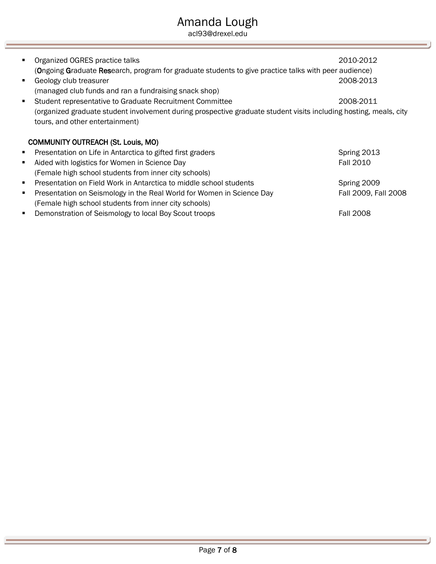| Organized OGRES practice talks<br>(Ongoing Graduate Research, program for graduate students to give practice talks with peer audience)<br>Geology club treasurer<br>٠<br>(managed club funds and ran a fundraising snack shop) | 2010-2012<br>2008-2013 |
|--------------------------------------------------------------------------------------------------------------------------------------------------------------------------------------------------------------------------------|------------------------|
| Student representative to Graduate Recruitment Committee<br>$\blacksquare$                                                                                                                                                     | 2008-2011              |
| (organized graduate student involvement during prospective graduate student visits including hosting, meals, city<br>tours, and other entertainment)                                                                           |                        |
| <b>COMMUNITY OUTREACH (St. Louis, MO)</b>                                                                                                                                                                                      |                        |
| Presentation on Life in Antarctica to gifted first graders<br>٠                                                                                                                                                                | Spring 2013            |
| Aided with logistics for Women in Science Day<br>٠                                                                                                                                                                             | <b>Fall 2010</b>       |
| (Female high school students from inner city schools)                                                                                                                                                                          |                        |
| Presentation on Field Work in Antarctica to middle school students<br>٠                                                                                                                                                        | Spring 2009            |
| Presentation on Seismology in the Real World for Women in Science Day<br>$\blacksquare$                                                                                                                                        | Fall 2009, Fall 2008   |
| (Female high school students from inner city schools)                                                                                                                                                                          |                        |
| Demonstration of Seismology to local Boy Scout troops<br>٠                                                                                                                                                                     | <b>Fall 2008</b>       |